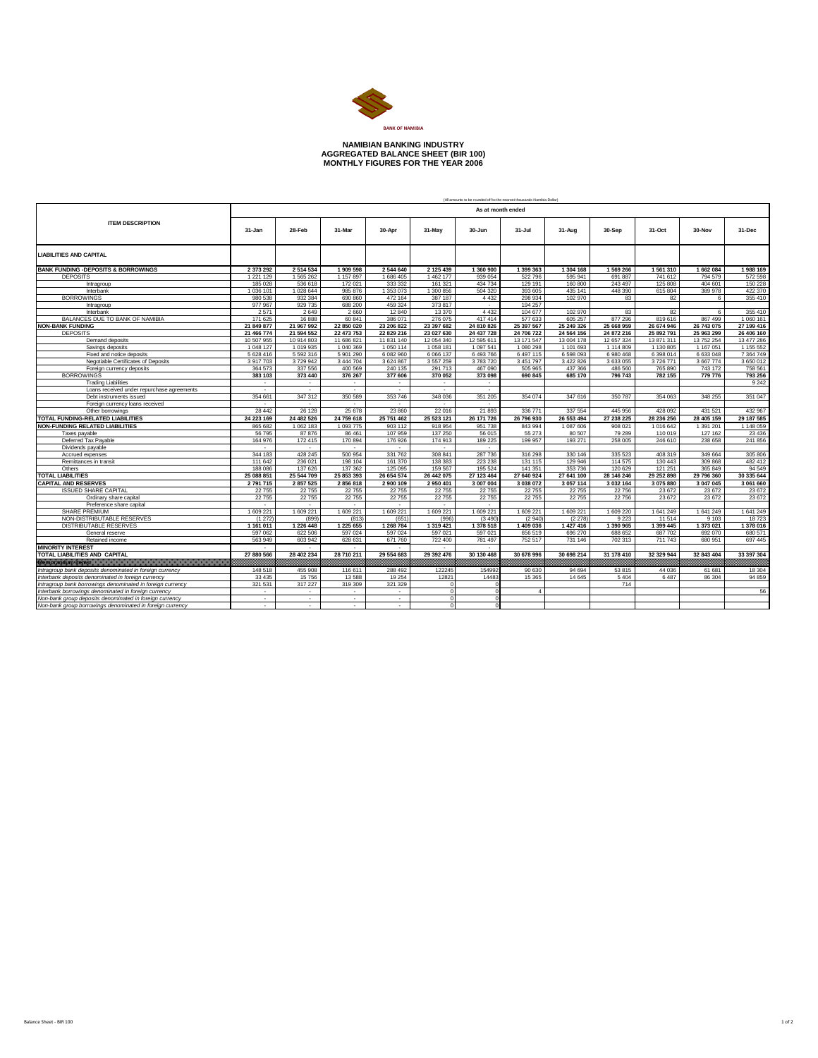

## **NAMIBIAN BANKING INDUSTRY AGGREGATED BALANCE SHEET (BIR 100) MONTHLY FIGURES FOR THE YEAR 2006**

|                                                                  |                        |                            |                        |                            |                          |                        | (All amounts to be rounded off to the nearest thousands Nambia Dollar) |                        |                        |                        |                            |                        |
|------------------------------------------------------------------|------------------------|----------------------------|------------------------|----------------------------|--------------------------|------------------------|------------------------------------------------------------------------|------------------------|------------------------|------------------------|----------------------------|------------------------|
|                                                                  | As at month ended      |                            |                        |                            |                          |                        |                                                                        |                        |                        |                        |                            |                        |
| <b>ITEM DESCRIPTION</b>                                          | 31-Jan                 | 28-Feb                     | 31-Mar                 | 30-Apr                     | 31-May                   | 30-Jun                 | 31-Jul                                                                 | 31-Aug                 | 30-Sep                 | 31-Oct                 | 30-Nov                     | 31-Dec                 |
| <b>LIABILITIES AND CAPITAL</b>                                   |                        |                            |                        |                            |                          |                        |                                                                        |                        |                        |                        |                            |                        |
| <b>BANK FUNDING -DEPOSITS &amp; BORROWINGS</b>                   | 2 373 292              | 2514534                    | 1 909 598              | 2544640                    | 2 125 439                | 1 360 900              | 1 399 363                                                              | 1 304 168              | 1 569 266              | 1561310                | 1662084                    | 1988 169               |
| <b>DEPOSITS</b>                                                  | 1 2 2 1 1 2 9          | 1 565 262                  | 1 157 897              | 1 686 405                  | 1 462 177                | 939 054                | 522 796                                                                | 595 941                | 691 887                | 741 612                | 794 579                    | 572 598                |
| Intragroup                                                       | 185 028                | 536 618                    | 172 021                | 333 332                    | 161 321                  | 434 734                | 129 191                                                                | 160 800                | 243 497                | 125 808                | 404 601                    | 150 228                |
| Interbank                                                        | 1 036 101              | 1 028 644                  | 985 876                | 1353073                    | 1 300 856                | 504 320                | 393 605                                                                | 435 141                | 448 390                | 615 804                | 389 978                    | 422 370                |
| <b>BORROWINGS</b>                                                | 980 538                | 932 384                    | 690 860                | 472 164                    | 387 187                  | 4 4 3 2                | 298 934                                                                | 102 970                | 83                     | 82                     | 6                          | 355 410                |
| Intragroup                                                       | 977 967                | 929 735                    | 688 200                | 459 324                    | 373 817                  |                        | 194 257                                                                |                        |                        |                        |                            |                        |
| Interbank                                                        | 2571                   | 2649                       | 2 6 6 0                | 12 840                     | 13 370                   | 4 4 3 2                | 104 677                                                                | 102 970                | 83                     | 82                     | 6                          | 355 410                |
| BALANCES DUE TO BANK OF NAMIBIA                                  | 171 625                | 16888                      | 60 841                 | 386 071                    | 276 075                  | 417414                 | 577 633                                                                | 605 257                | 877 296                | 819 616                | 867 499                    | 1 060 161              |
| <b>NON-BANK FUNDING</b>                                          | 21 849 877             | 21 967 992                 | 22 850 020             | 23 206 822                 | 23 397 682               | 24 810 826             | 25 397 567                                                             | 25 249 326             | 25 668 959             | 26 674 946             | 26 743 075                 | 27 199 416             |
| <b>DEPOSITS</b>                                                  | 21 466 774             | 21 594 552                 | 22 473 753             | 22 829 216                 | 23 027 630               | 24 437 728             | 24 706 722                                                             | 24 564 156             | 24 872 216             | 25 892 791             | 25 963 299                 | 26 406 160             |
| Demand deposits                                                  | 10 507 955             | 10 914 803                 | 11 686 821             | 11 831 140                 | 12 054 340               | 12 595 611             | 13 171 547                                                             | 13 004 178             | 12 657 324             | 13 871 311             | 13 752 254                 | 13 477 286             |
| Savings deposits                                                 | 1 048 127<br>5 628 416 | 1 019 935<br>5 5 9 2 3 1 6 | 1 040 369<br>5 901 290 | 1 0 5 0 1 1 4<br>6 082 960 | 1 058 181<br>6 0 6 1 3 7 | 1 097 541<br>6 493 766 | 1 080 298<br>6 497 115                                                 | 1 101 693<br>6 598 093 | 1 114 809<br>6 980 468 | 1 130 805<br>6 398 014 | 1 1 6 7 0 5 1<br>6 633 048 | 1 155 552<br>7 364 749 |
| Fixed and notice deposits<br>Negotiable Certificates of Deposits | 3917703                | 3729942                    | 3 444 704              | 3 624 867                  | 3 5 5 7 2 5 9            | 3783720                | 3 451 797                                                              | 3 422 826              | 3 633 055              | 3726771                | 3667774                    | 3 650 012              |
| Foreign currency deposits                                        | 364 573                | 337 556                    | 400 569                | 240 135                    | 291 713                  | 467 090                | 505 965                                                                | 437 366                | 486 560                | 765 890                | 743 172                    | 758 561                |
| <b>BORROWINGS</b>                                                | 383 103                | 373 440                    | 376 267                | 377 606                    | 370 052                  | 373 098                | 690 845                                                                | 685 170                | 796 743                | 782 155                | 779 776                    | 793 256                |
| <b>Trading Liabilities</b>                                       | $\sim$                 | ٠                          | $\sim$                 | $\sim$                     | $\sim$                   | $\sim$                 |                                                                        |                        |                        |                        |                            | 9 2 4 2                |
| Loans received under repurchase agreements                       | $\sim$                 | $\sim$                     | - 20                   | $\sim$                     | $\sim$                   | $\sim$                 |                                                                        |                        |                        |                        |                            |                        |
| Debt instruments issued                                          | 354 661                | 347 312                    | 350 589                | 353 746                    | 348 036                  | 351 205                | 354 074                                                                | 347 616                | 350 787                | 354 063                | 348 255                    | 351 047                |
| Foreign currency loans received                                  | ×.                     |                            |                        |                            |                          |                        |                                                                        |                        |                        |                        |                            |                        |
| Other borrowings                                                 | 28 442                 | 26 128                     | 25 678                 | 23 860                     | 22 016                   | 21893                  | 336 771                                                                | 337 554                | 445 956                | 428 092                | 431 521                    | 432 967                |
| TOTAL FUNDING-RELATED LIABILITIES                                | 24 223 169             | 24 482 526                 | 24 759 618             | 25 751 462                 | 25 523 121               | 26 171 726             | 26 796 930                                                             | 26 553 494             | 27 238 225             | 28 236 256             | 28 405 159                 | 29 187 585             |
| NON-FUNDING RELATED LIABILITIES                                  | 865 682                | 1 062 183                  | 1 093 775              | 903 112                    | 918 954                  | 951 738                | 843 994                                                                | 1 087 606              | 908 021                | 1 016 642              | 1 391 201                  | 1 148 059              |
| Taxes pavable                                                    | 56 795                 | 87876                      | 86 461                 | 107 959                    | 137 250                  | 56 015                 | 55 273                                                                 | 80 507                 | 79 289                 | 110 019                | 127 162                    | 23 4 36                |
| Deferred Tax Payable                                             | 164 976                | 172 415                    | 170 894                | 176 926                    | 174 913                  | 189 225                | 199 957                                                                | 193 271                | 258 005                | 246 610                | 238 658                    | 241 856                |
| Dividends payable                                                | $\sim$                 | $\sim$                     | $\sim$                 | $\sim$                     | $\sim$                   | $\sim$                 |                                                                        |                        |                        |                        |                            |                        |
| Accrued expenses                                                 | 344 183                | 428 245                    | 500 954                | 331 762                    | 308 841                  | 287736                 | 316 298                                                                | 330 146                | 335 523                | 408 319                | 349 664                    | 305 806                |
| Remittances in transit                                           | 111 642                | 236 021                    | 198 104                | 161 370                    | 138 383                  | 223 238                | 131 115                                                                | 129 946                | 114 575                | 130 443                | 309 868                    | 482 412                |
| Others                                                           | 188 086                | 137 626                    | 137 362                | 125 095                    | 159 567                  | 195 524                | 141 351                                                                | 353 736                | 120 629                | 121 251                | 365 849                    | 94 549                 |
| <b>TOTAL LIABILITIES</b>                                         | 25 088 851             | 25 544 709                 | 25 853 393             | 26 654 574                 | 26 442 075               | 27 123 464             | 27 640 924                                                             | 27 641 100             | 28 146 246             | 29 252 898             | 29 796 360                 | 30 335 644             |
| <b>CAPITAL AND RESERVES</b>                                      | 2 791 715              | 2857525                    | 2856818                | 2 900 109                  | 2950401                  | 3 007 004              | 3 038 072                                                              | 3 057 114              | 3 0 3 2 1 6 4          | 3 075 880              | 3 047 045                  | 3 061 660              |
| <b>ISSUED SHARE CAPITAL</b>                                      | 22755                  | 22755                      | 22755                  | 22755                      | 22755                    | 22755                  | 22755                                                                  | 22755                  | 22756                  | 23 672                 | 23 672                     | 23 672                 |
| Ordinary share capital                                           | 22 755                 | 22 755                     | 22 755                 | 22 755                     | 22 755                   | 22755                  | 22755                                                                  | 22 755                 | 22 756                 | 23 672                 | 23 672                     | 23 672                 |
| Preference share capital                                         | $\sim$                 | $\sim$                     | ٠.                     | $\sim$                     | $\sim$                   | $\sim$                 |                                                                        |                        |                        |                        |                            |                        |
| <b>SHARE PREMIUM</b><br>NON-DISTRIBUTABLE RESERVES               | 1 609 221<br>(1272)    | 1 609 221<br>(899)         | 1 609 221              | 1 609 221<br>(651)         | 1 609 221                | 1 609 221              | 1 609 221<br>(2940)                                                    | 1 609 221<br>(2278)    | 1 609 220<br>9 2 2 3   | 1 641 249              | 1 641 249                  | 1 641 249<br>18723     |
| DISTRIBUTABLE RESERVES                                           | 1 161 011              | 1 226 448                  | (813)<br>1 225 655     | 1 268 784                  | (996)<br>1 319 421       | (3.490)<br>1 378 518   | 1 409 036                                                              | 1 427 416              | 1 390 965              | 11 514<br>1 399 445    | 9 1 0 3<br>1 373 021       | 1 378 016              |
| General reserve                                                  | 597 062                | 622 506                    | 597 024                | 597 024                    | 597 021                  | 597 021                | 656 519                                                                | 696 270                | 688 652                | 687 702                | 692 070                    | 680 571                |
| Retained income                                                  | 563 949                | 603 942                    | 628 631                | 671 760                    | 722 400                  | 781 497                | 752 517                                                                | 731 146                | 702 313                | 711 743                | 680 951                    | 697 445                |
| <b>MINORITY INTEREST</b>                                         |                        |                            |                        |                            | ×.                       |                        |                                                                        |                        |                        |                        |                            |                        |
| <b>TOTAL LIABILITIES AND CAPITAL</b>                             | 27 880 566             | 28 402 234                 | 28 710 211             | 29 554 683                 | 29 392 476               | 30 130 468             | 30 678 996                                                             | 30 698 214             | 31 178 410             | 32 329 944             | 32 843 404                 | 33 397 304             |
|                                                                  | mm                     | -237                       |                        |                            |                          |                        |                                                                        |                        |                        |                        |                            | ww                     |
| Intragroup bank deposits denominated in foreign currency         | 148 518                | 455 908                    | 116 611                | 288 492                    | 122245                   | 154992                 | 90 630                                                                 | 94 694                 | 53 815                 | 44 0 36                | 61 681                     | 18 304                 |
| nterbank deposits denominated in foreign currency                | 33 4 35                | 15756                      | 13 5 88                | 19 25 4                    | 12821                    | 14483                  | 15 3 65                                                                | 14 645                 | 5 4 0 4                | 6 4 8 7                | 86 304                     | 94 859                 |
| Intragroup bank borrowings denominated in foreign currency       | 321 531                | 317 227                    | 319 309                | 321 329                    | $\Omega$                 |                        |                                                                        |                        | 714                    |                        |                            |                        |
| Interbank borrowings denominated in foreign currency             | $\sim$                 | $\sim$                     |                        | $\sim$                     | $\Omega$                 |                        | $\overline{4}$                                                         |                        |                        |                        |                            | 56                     |
| Von-bank group deposits denominated in foreign currency          | $\sim$                 | $\sim$                     | $\sim$                 | $\sim$                     | $\Omega$                 |                        |                                                                        |                        |                        |                        |                            |                        |
| Non-bank group borrowings denominated in foreign currency        | ×.                     | ٠                          |                        | $\sim$                     | $\Omega$                 |                        |                                                                        |                        |                        |                        |                            |                        |
|                                                                  |                        |                            |                        |                            |                          |                        |                                                                        |                        |                        |                        |                            |                        |